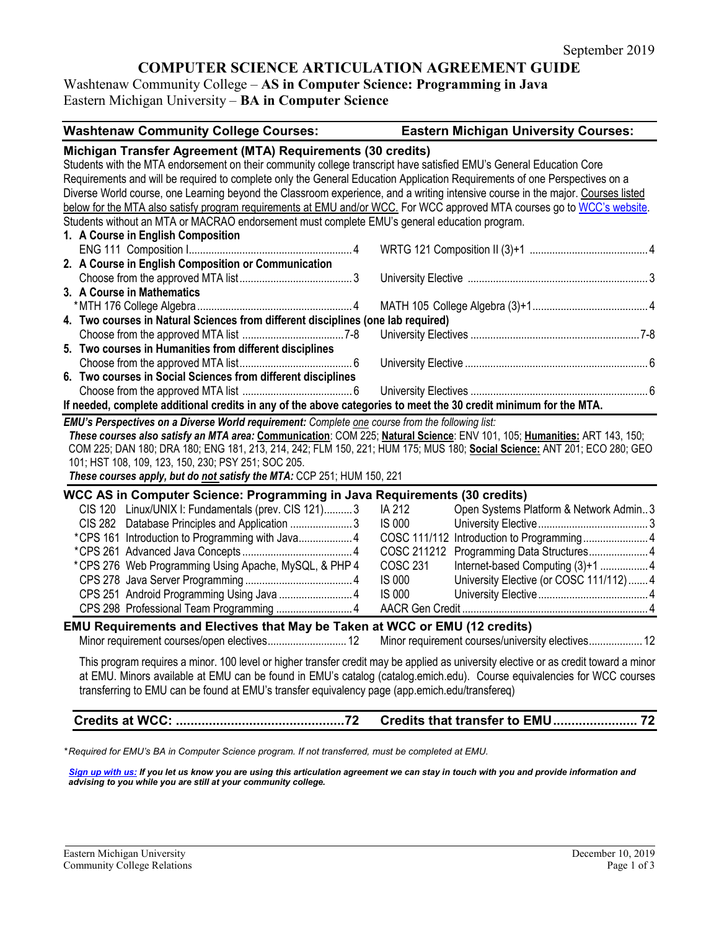# **COMPUTER SCIENCE ARTICULATION AGREEMENT GUIDE**

Washtenaw Community College – **AS in Computer Science: Programming in Java** Eastern Michigan University – **BA in Computer Science**

| <b>Washtenaw Community College Courses:</b>                                                                                                                                                                                                                                                                                                                                                                                                                                              | <b>Eastern Michigan University Courses:</b>          |
|------------------------------------------------------------------------------------------------------------------------------------------------------------------------------------------------------------------------------------------------------------------------------------------------------------------------------------------------------------------------------------------------------------------------------------------------------------------------------------------|------------------------------------------------------|
| Michigan Transfer Agreement (MTA) Requirements (30 credits)<br>Students with the MTA endorsement on their community college transcript have satisfied EMU's General Education Core<br>Requirements and will be required to complete only the General Education Application Requirements of one Perspectives on a                                                                                                                                                                         |                                                      |
| Diverse World course, one Learning beyond the Classroom experience, and a writing intensive course in the major. Courses listed                                                                                                                                                                                                                                                                                                                                                          |                                                      |
| below for the MTA also satisfy program requirements at EMU and/or WCC. For WCC approved MTA courses go to WCC's website.                                                                                                                                                                                                                                                                                                                                                                 |                                                      |
| Students without an MTA or MACRAO endorsement must complete EMU's general education program.                                                                                                                                                                                                                                                                                                                                                                                             |                                                      |
| 1. A Course in English Composition                                                                                                                                                                                                                                                                                                                                                                                                                                                       |                                                      |
|                                                                                                                                                                                                                                                                                                                                                                                                                                                                                          |                                                      |
| 2. A Course in English Composition or Communication                                                                                                                                                                                                                                                                                                                                                                                                                                      |                                                      |
|                                                                                                                                                                                                                                                                                                                                                                                                                                                                                          |                                                      |
| 3. A Course in Mathematics                                                                                                                                                                                                                                                                                                                                                                                                                                                               |                                                      |
|                                                                                                                                                                                                                                                                                                                                                                                                                                                                                          |                                                      |
| 4. Two courses in Natural Sciences from different disciplines (one lab required)                                                                                                                                                                                                                                                                                                                                                                                                         |                                                      |
|                                                                                                                                                                                                                                                                                                                                                                                                                                                                                          |                                                      |
| 5. Two courses in Humanities from different disciplines                                                                                                                                                                                                                                                                                                                                                                                                                                  |                                                      |
|                                                                                                                                                                                                                                                                                                                                                                                                                                                                                          |                                                      |
| 6. Two courses in Social Sciences from different disciplines                                                                                                                                                                                                                                                                                                                                                                                                                             |                                                      |
|                                                                                                                                                                                                                                                                                                                                                                                                                                                                                          |                                                      |
| If needed, complete additional credits in any of the above categories to meet the 30 credit minimum for the MTA.                                                                                                                                                                                                                                                                                                                                                                         |                                                      |
| EMU's Perspectives on a Diverse World requirement: Complete one course from the following list:<br>These courses also satisfy an MTA area: Communication: COM 225; Natural Science: ENV 101, 105; Humanities: ART 143, 150;<br>COM 225; DAN 180; DRA 180; ENG 181, 213, 214, 242; FLM 150, 221; HUM 175; MUS 180; Social Science: ANT 201; ECO 280; GEO<br>101; HST 108, 109, 123, 150, 230; PSY 251; SOC 205.<br>These courses apply, but do not satisfy the MTA: CCP 251; HUM 150, 221 |                                                      |
| WCC AS in Computer Science: Programming in Java Requirements (30 credits)                                                                                                                                                                                                                                                                                                                                                                                                                |                                                      |
| CIS 120 Linux/UNIX I: Fundamentals (prev. CIS 121)3                                                                                                                                                                                                                                                                                                                                                                                                                                      | IA 212<br>Open Systems Platform & Network Admin3     |
| CIS 282 Database Principles and Application 3                                                                                                                                                                                                                                                                                                                                                                                                                                            | <b>IS 000</b>                                        |
|                                                                                                                                                                                                                                                                                                                                                                                                                                                                                          |                                                      |
|                                                                                                                                                                                                                                                                                                                                                                                                                                                                                          | COSC 211212 Programming Data Structures 4            |
| *CPS 276 Web Programming Using Apache, MySQL, & PHP 4                                                                                                                                                                                                                                                                                                                                                                                                                                    | <b>COSC 231</b><br>Internet-based Computing (3)+1  4 |
|                                                                                                                                                                                                                                                                                                                                                                                                                                                                                          | IS 000<br>University Elective (or COSC 111/112)  4   |
| CPS 251 Android Programming Using Java  4                                                                                                                                                                                                                                                                                                                                                                                                                                                | <b>IS 000</b>                                        |
| CPS 298 Professional Team Programming  4                                                                                                                                                                                                                                                                                                                                                                                                                                                 |                                                      |
| EMU Requirements and Electives that May be Taken at WCC or EMU (12 credits)                                                                                                                                                                                                                                                                                                                                                                                                              |                                                      |
| Minor requirement courses/open electives 12                                                                                                                                                                                                                                                                                                                                                                                                                                              | Minor requirement courses/university electives 12    |
| This program requires a minor. 100 level or higher transfer credit may be applied as university elective or as credit toward a minor<br>at EMU. Minors available at EMU can be found in EMU's catalog (catalog.emich.edu). Course equivalencies for WCC courses<br>transferring to EMU can be found at EMU's transfer equivalency page (app.emich.edu/transfereq)                                                                                                                        |                                                      |
| <b>Credits at WCC:</b><br>.72                                                                                                                                                                                                                                                                                                                                                                                                                                                            | Credits that transfer to EMU 72                      |

*\* Required for EMU's BA in Computer Science program. If not transferred, must be completed at EMU.* 

*[Sign up with us:](https://www.emich.edu/ccr/articulation-agreements/signup.php) If you let us know you are using this articulation agreement we can stay in touch with you and provide information and advising to you while you are still at your community college.*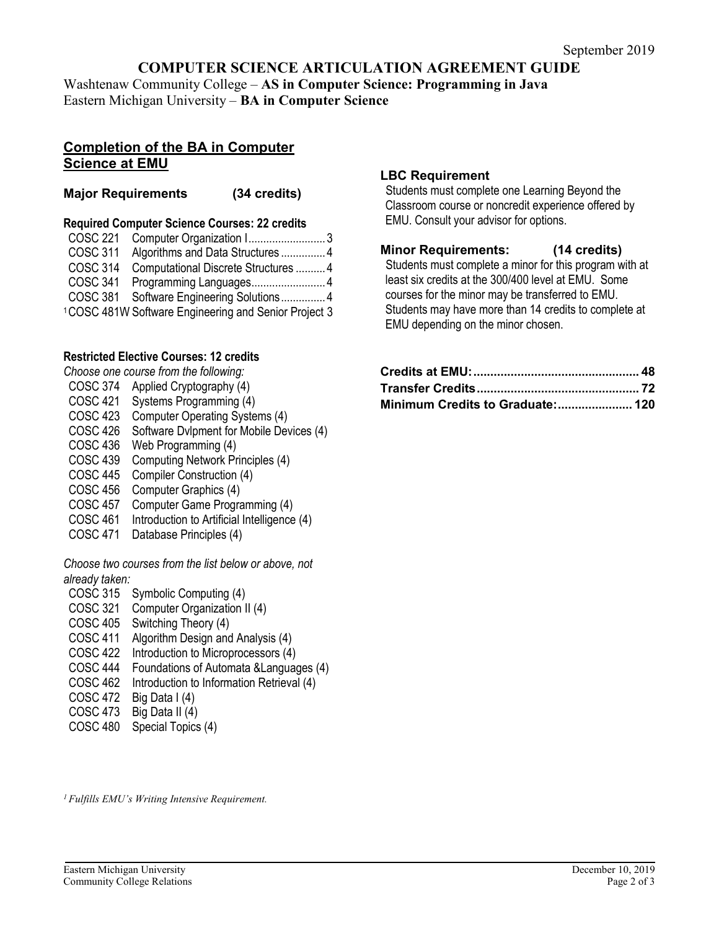# **COMPUTER SCIENCE ARTICULATION AGREEMENT GUIDE**

Washtenaw Community College – **AS in Computer Science: Programming in Java** Eastern Michigan University – **BA in Computer Science**

## **Completion of the BA in Computer Science at EMU**

### **Major Requirements (34 credits)**

### **Required Computer Science Courses: 22 credits**

| COSC 221        | Computer Organization I3                                         |  |
|-----------------|------------------------------------------------------------------|--|
| <b>COSC 311</b> | Algorithms and Data Structures 4                                 |  |
| <b>COSC 314</b> | Computational Discrete Structures  4                             |  |
| <b>COSC 341</b> | Programming Languages4                                           |  |
|                 | COSC 381 Software Engineering Solutions 4                        |  |
|                 | <sup>1</sup> COSC 481W Software Engineering and Senior Project 3 |  |

## **Restricted Elective Courses: 12 credits**

*Choose one course from the following:*

- COSC 374 Applied Cryptography (4)
- COSC 421 Systems Programming (4)
- COSC 423 Computer Operating Systems (4)
- COSC 426 Software Dvlpment for Mobile Devices (4)
- COSC 436 Web Programming (4)
- COSC 439 Computing Network Principles (4)
- COSC 445 Compiler Construction (4)
- COSC 456 Computer Graphics (4)
- COSC 457 Computer Game Programming (4)
- COSC 461 Introduction to Artificial Intelligence (4)
- COSC 471 Database Principles (4)

*Choose two courses from the list below or above, not already taken:*

- COSC 315 Symbolic Computing (4)
- COSC 321 Computer Organization II (4)
- COSC 405 Switching Theory (4)
- COSC 411 Algorithm Design and Analysis (4)
- COSC 422 Introduction to Microprocessors (4)
- COSC 444 Foundations of Automata &Languages (4)
- COSC 462 Introduction to Information Retrieval (4)
- COSC 472 Big Data I (4)
- COSC 473 Big Data II (4)
- COSC 480 Special Topics (4)

### **LBC Requirement**

Students must complete one Learning Beyond the Classroom course or noncredit experience offered by EMU. Consult your advisor for options.

### **Minor Requirements: (14 credits)**

Students must complete a minor for this program with at least six credits at the 300/400 level at EMU. Some courses for the minor may be transferred to EMU. Students may have more than 14 credits to complete at EMU depending on the minor chosen.

| Minimum Credits to Graduate: 120 |  |
|----------------------------------|--|

*1 Fulfills EMU's Writing Intensive Requirement.*